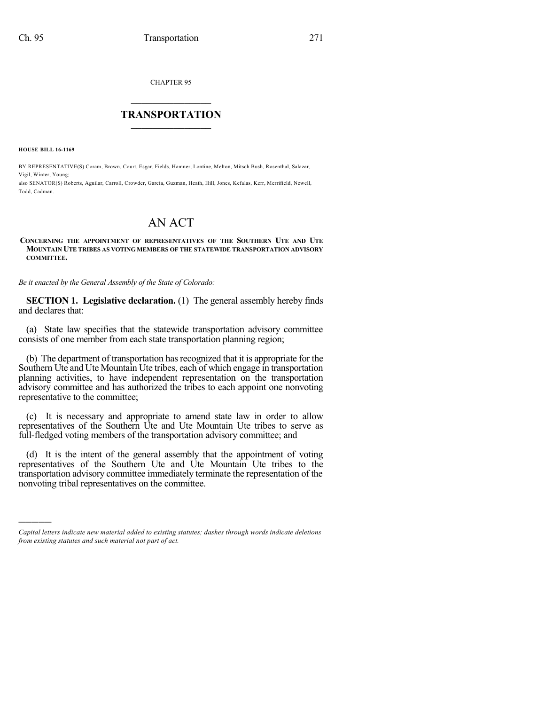CHAPTER 95

## $\overline{\phantom{a}}$  . The set of the set of the set of the set of the set of the set of the set of the set of the set of the set of the set of the set of the set of the set of the set of the set of the set of the set of the set o **TRANSPORTATION**  $\_$   $\_$   $\_$   $\_$   $\_$   $\_$   $\_$   $\_$   $\_$

**HOUSE BILL 16-1169**

)))))

BY REPRESENTATIVE(S) Coram, Brown, Court, Esgar, Fields, Hamner, Lontine, Melton, Mitsch Bush, Rosenthal, Salazar, Vigil, Winter, Young;

also SENATOR(S) Roberts, Aguilar, Carroll, Crowder, Garcia, Guzman, Heath, Hill, Jones, Kefalas, Kerr, Merrifield, Newell, Todd, Cadman.

## AN ACT

## **CONCERNING THE APPOINTMENT OF REPRESENTATIVES OF THE SOUTHERN UTE AND UTE MOUNTAIN UTE TRIBES AS VOTING MEMBERS OF THE STATEWIDE TRANSPORTATION ADVISORY COMMITTEE.**

*Be it enacted by the General Assembly of the State of Colorado:*

**SECTION 1. Legislative declaration.** (1) The general assembly hereby finds and declares that:

(a) State law specifies that the statewide transportation advisory committee consists of one member from each state transportation planning region;

(b) The department of transportation hasrecognized that it is appropriate for the Southern Ute and Ute Mountain Ute tribes, each of which engage in transportation planning activities, to have independent representation on the transportation advisory committee and has authorized the tribes to each appoint one nonvoting representative to the committee;

(c) It is necessary and appropriate to amend state law in order to allow representatives of the Southern Ute and Ute Mountain Ute tribes to serve as full-fledged voting members of the transportation advisory committee; and

(d) It is the intent of the general assembly that the appointment of voting representatives of the Southern Ute and Ute Mountain Ute tribes to the transportation advisory committee immediately terminate the representation of the nonvoting tribal representatives on the committee.

*Capital letters indicate new material added to existing statutes; dashes through words indicate deletions from existing statutes and such material not part of act.*